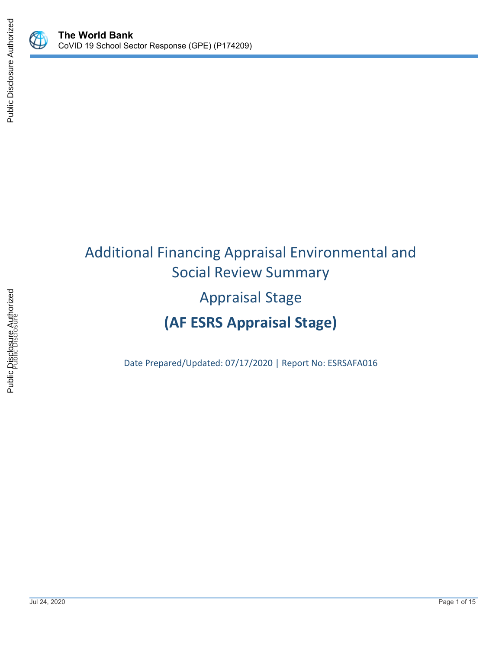

 $\bigcirc\hspace{-1.2ex}\bigcirc$ 

# Additional Financing Appraisal Environmental and Social Review Summary Appraisal Stage **(AF ESRS Appraisal Stage)**

Date Prepared/Updated: 07/17/2020 | Report No: ESRSAFA016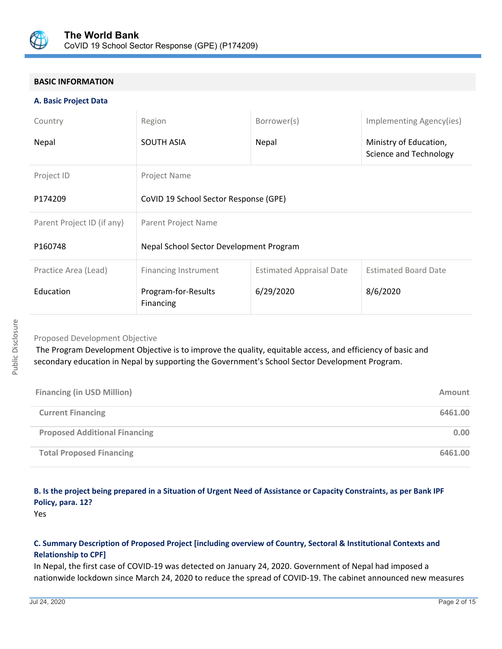

## **BASIC INFORMATION**

#### **A. Basic Project Data**

| Country                    | Region                                  | Borrower(s)                     | Implementing Agency(ies)                         |
|----------------------------|-----------------------------------------|---------------------------------|--------------------------------------------------|
| Nepal                      | SOUTH ASIA                              | Nepal                           | Ministry of Education,<br>Science and Technology |
| Project ID                 | Project Name                            |                                 |                                                  |
| P174209                    | CoVID 19 School Sector Response (GPE)   |                                 |                                                  |
| Parent Project ID (if any) | Parent Project Name                     |                                 |                                                  |
| P160748                    | Nepal School Sector Development Program |                                 |                                                  |
| Practice Area (Lead)       | <b>Financing Instrument</b>             | <b>Estimated Appraisal Date</b> | <b>Estimated Board Date</b>                      |
| Education                  | Program-for-Results<br>Financing        | 6/29/2020                       | 8/6/2020                                         |

## Proposed Development Objective

 The Program Development Objective is to improve the quality, equitable access, and efficiency of basic and secondary education in Nepal by supporting the Government's School Sector Development Program.

| <b>Financing (in USD Million)</b>    | <b>Amount</b> |
|--------------------------------------|---------------|
| <b>Current Financing</b>             | 6461.00       |
| <b>Proposed Additional Financing</b> | 0.00          |
| <b>Total Proposed Financing</b>      | 6461.00       |

## **B. Is the project being prepared in a Situation of Urgent Need of Assistance or Capacity Constraints, as per Bank IPF Policy, para. 12?**

Yes

## **C. Summary Description of Proposed Project [including overview of Country, Sectoral & Institutional Contexts and Relationship to CPF]**

In Nepal, the first case of COVID-19 was detected on January 24, 2020. Government of Nepal had imposed a nationwide lockdown since March 24, 2020 to reduce the spread of COVID-19. The cabinet announced new measures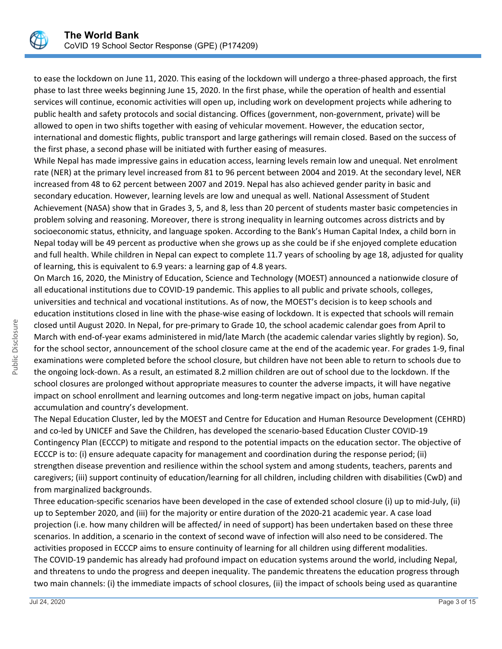

to ease the lockdown on June 11, 2020. This easing of the lockdown will undergo a three-phased approach, the first phase to last three weeks beginning June 15, 2020. In the first phase, while the operation of health and essential services will continue, economic activities will open up, including work on development projects while adhering to public health and safety protocols and social distancing. Offices (government, non-government, private) will be allowed to open in two shifts together with easing of vehicular movement. However, the education sector, international and domestic flights, public transport and large gatherings will remain closed. Based on the success of the first phase, a second phase will be initiated with further easing of measures.

While Nepal has made impressive gains in education access, learning levels remain low and unequal. Net enrolment rate (NER) at the primary level increased from 81 to 96 percent between 2004 and 2019. At the secondary level, NER increased from 48 to 62 percent between 2007 and 2019. Nepal has also achieved gender parity in basic and secondary education. However, learning levels are low and unequal as well. National Assessment of Student Achievement (NASA) show that in Grades 3, 5, and 8, less than 20 percent of students master basic competencies in problem solving and reasoning. Moreover, there is strong inequality in learning outcomes across districts and by socioeconomic status, ethnicity, and language spoken. According to the Bank's Human Capital Index, a child born in Nepal today will be 49 percent as productive when she grows up as she could be if she enjoyed complete education and full health. While children in Nepal can expect to complete 11.7 years of schooling by age 18, adjusted for quality of learning, this is equivalent to 6.9 years: a learning gap of 4.8 years.

On March 16, 2020, the Ministry of Education, Science and Technology (MOEST) announced a nationwide closure of all educational institutions due to COVID-19 pandemic. This applies to all public and private schools, colleges, universities and technical and vocational institutions. As of now, the MOEST's decision is to keep schools and education institutions closed in line with the phase-wise easing of lockdown. It is expected that schools will remain closed until August 2020. In Nepal, for pre-primary to Grade 10, the school academic calendar goes from April to March with end-of-year exams administered in mid/late March (the academic calendar varies slightly by region). So, for the school sector, announcement of the school closure came at the end of the academic year. For grades 1-9, final examinations were completed before the school closure, but children have not been able to return to schools due to the ongoing lock-down. As a result, an estimated 8.2 million children are out of school due to the lockdown. If the school closures are prolonged without appropriate measures to counter the adverse impacts, it will have negative impact on school enrollment and learning outcomes and long-term negative impact on jobs, human capital accumulation and country's development.

The Nepal Education Cluster, led by the MOEST and Centre for Education and Human Resource Development (CEHRD) and co-led by UNICEF and Save the Children, has developed the scenario-based Education Cluster COVID-19 Contingency Plan (ECCCP) to mitigate and respond to the potential impacts on the education sector. The objective of ECCCP is to: (i) ensure adequate capacity for management and coordination during the response period; (ii) strengthen disease prevention and resilience within the school system and among students, teachers, parents and caregivers; (iii) support continuity of education/learning for all children, including children with disabilities (CwD) and from marginalized backgrounds.

Three education-specific scenarios have been developed in the case of extended school closure (i) up to mid-July, (ii) up to September 2020, and (iii) for the majority or entire duration of the 2020-21 academic year. A case load projection (i.e. how many children will be affected/ in need of support) has been undertaken based on these three scenarios. In addition, a scenario in the context of second wave of infection will also need to be considered. The activities proposed in ECCCP aims to ensure continuity of learning for all children using different modalities. The COVID-19 pandemic has already had profound impact on education systems around the world, including Nepal, and threatens to undo the progress and deepen inequality. The pandemic threatens the education progress through two main channels: (i) the immediate impacts of school closures, (ii) the impact of schools being used as quarantine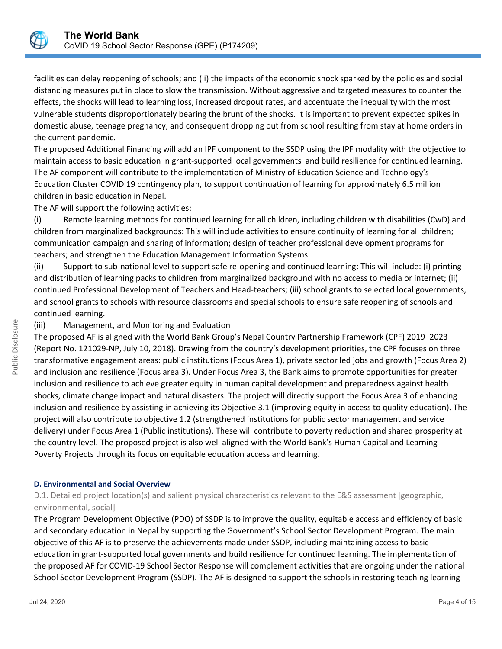

facilities can delay reopening of schools; and (ii) the impacts of the economic shock sparked by the policies and social distancing measures put in place to slow the transmission. Without aggressive and targeted measures to counter the effects, the shocks will lead to learning loss, increased dropout rates, and accentuate the inequality with the most vulnerable students disproportionately bearing the brunt of the shocks. It is important to prevent expected spikes in domestic abuse, teenage pregnancy, and consequent dropping out from school resulting from stay at home orders in the current pandemic.

The proposed Additional Financing will add an IPF component to the SSDP using the IPF modality with the objective to maintain access to basic education in grant-supported local governments and build resilience for continued learning. The AF component will contribute to the implementation of Ministry of Education Science and Technology's Education Cluster COVID 19 contingency plan, to support continuation of learning for approximately 6.5 million children in basic education in Nepal.

The AF will support the following activities:

(i) Remote learning methods for continued learning for all children, including children with disabilities (CwD) and children from marginalized backgrounds: This will include activities to ensure continuity of learning for all children; communication campaign and sharing of information; design of teacher professional development programs for teachers; and strengthen the Education Management Information Systems.

(ii) Support to sub-national level to support safe re-opening and continued learning: This will include: (i) printing and distribution of learning packs to children from marginalized background with no access to media or internet; (ii) continued Professional Development of Teachers and Head-teachers; (iii) school grants to selected local governments, and school grants to schools with resource classrooms and special schools to ensure safe reopening of schools and continued learning.

## (iii) Management, and Monitoring and Evaluation

The proposed AF is aligned with the World Bank Group's Nepal Country Partnership Framework (CPF) 2019–2023 (Report No. 121029-NP, July 10, 2018). Drawing from the country's development priorities, the CPF focuses on three transformative engagement areas: public institutions (Focus Area 1), private sector led jobs and growth (Focus Area 2) and inclusion and resilience (Focus area 3). Under Focus Area 3, the Bank aims to promote opportunities for greater inclusion and resilience to achieve greater equity in human capital development and preparedness against health shocks, climate change impact and natural disasters. The project will directly support the Focus Area 3 of enhancing inclusion and resilience by assisting in achieving its Objective 3.1 (improving equity in access to quality education). The project will also contribute to objective 1.2 (strengthened institutions for public sector management and service delivery) under Focus Area 1 (Public institutions). These will contribute to poverty reduction and shared prosperity at the country level. The proposed project is also well aligned with the World Bank's Human Capital and Learning Poverty Projects through its focus on equitable education access and learning.

#### **D. Environmental and Social Overview**

D.1. Detailed project location(s) and salient physical characteristics relevant to the E&S assessment [geographic, environmental, social]

The Program Development Objective (PDO) of SSDP is to improve the quality, equitable access and efficiency of basic and secondary education in Nepal by supporting the Government's School Sector Development Program. The main objective of this AF is to preserve the achievements made under SSDP, including maintaining access to basic education in grant-supported local governments and build resilience for continued learning. The implementation of the proposed AF for COVID-19 School Sector Response will complement activities that are ongoing under the national School Sector Development Program (SSDP). The AF is designed to support the schools in restoring teaching learning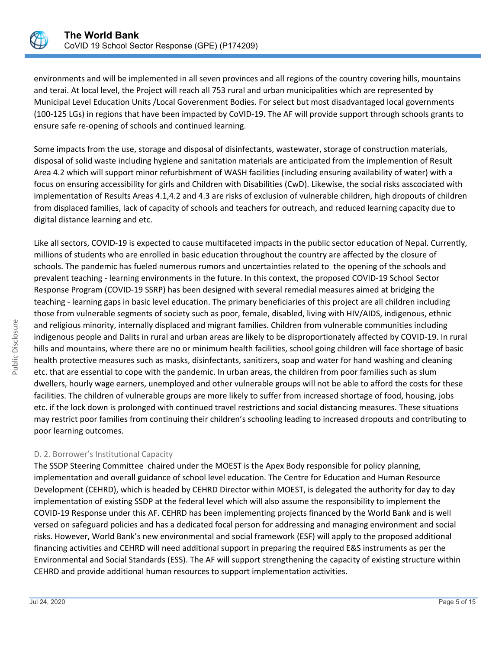

environments and will be implemented in all seven provinces and all regions of the country covering hills, mountains and terai. At local level, the Project will reach all 753 rural and urban municipalities which are represented by Municipal Level Education Units /Local Goverenment Bodies. For select but most disadvantaged local governments (100-125 LGs) in regions that have been impacted by CoVID-19. The AF will provide support through schools grants to ensure safe re-opening of schools and continued learning.

Some impacts from the use, storage and disposal of disinfectants, wastewater, storage of construction materials, disposal of solid waste including hygiene and sanitation materials are anticipated from the implemention of Result Area 4.2 which will support minor refurbishment of WASH facilities (including ensuring availability of water) with a focus on ensuring accessibility for girls and Children with Disabilities (CwD). Likewise, the social risks asscociated with implementation of Results Areas 4.1,4.2 and 4.3 are risks of exclusion of vulnerable children, high dropouts of children from displaced families, lack of capacity of schools and teachers for outreach, and reduced learning capacity due to digital distance learning and etc.

Like all sectors, COVID-19 is expected to cause multifaceted impacts in the public sector education of Nepal. Currently, millions of students who are enrolled in basic education throughout the country are affected by the closure of schools. The pandemic has fueled numerous rumors and uncertainties related to the opening of the schools and prevalent teaching - learning environments in the future. In this context, the proposed COVID-19 School Sector Response Program (COVID-19 SSRP) has been designed with several remedial measures aimed at bridging the teaching - learning gaps in basic level education. The primary beneficiaries of this project are all children including those from vulnerable segments of society such as poor, female, disabled, living with HIV/AIDS, indigenous, ethnic and religious minority, internally displaced and migrant families. Children from vulnerable communities including indigenous people and Dalits in rural and urban areas are likely to be disproportionately affected by COVID-19. In rural hills and mountains, where there are no or minimum health facilities, school going children will face shortage of basic health protective measures such as masks, disinfectants, sanitizers, soap and water for hand washing and cleaning etc. that are essential to cope with the pandemic. In urban areas, the children from poor families such as slum dwellers, hourly wage earners, unemployed and other vulnerable groups will not be able to afford the costs for these facilities. The children of vulnerable groups are more likely to suffer from increased shortage of food, housing, jobs etc. if the lock down is prolonged with continued travel restrictions and social distancing measures. These situations may restrict poor families from continuing their children's schooling leading to increased dropouts and contributing to poor learning outcomes.

## D. 2. Borrower's Institutional Capacity

The SSDP Steering Committee chaired under the MOEST is the Apex Body responsible for policy planning, implementation and overall guidance of school level education. The Centre for Education and Human Resource Development (CEHRD), which is headed by CEHRD Director within MOEST, is delegated the authority for day to day implementation of existing SSDP at the federal level which will also assume the responsibility to implement the COVID-19 Response under this AF. CEHRD has been implementing projects financed by the World Bank and is well versed on safeguard policies and has a dedicated focal person for addressing and managing environment and social risks. However, World Bank's new environmental and social framework (ESF) will apply to the proposed additional financing activities and CEHRD will need additional support in preparing the required E&S instruments as per the Environmental and Social Standards (ESS). The AF will support strengthening the capacity of existing structure within CEHRD and provide additional human resources to support implementation activities.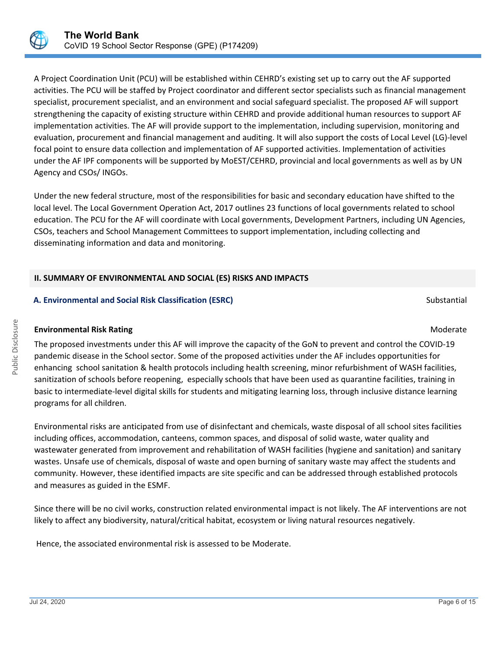

A Project Coordination Unit (PCU) will be established within CEHRD's existing set up to carry out the AF supported activities. The PCU will be staffed by Project coordinator and different sector specialists such as financial management specialist, procurement specialist, and an environment and social safeguard specialist. The proposed AF will support strengthening the capacity of existing structure within CEHRD and provide additional human resources to support AF implementation activities. The AF will provide support to the implementation, including supervision, monitoring and evaluation, procurement and financial management and auditing. It will also support the costs of Local Level (LG)-level focal point to ensure data collection and implementation of AF supported activities. Implementation of activities under the AF IPF components will be supported by MoEST/CEHRD, provincial and local governments as well as by UN Agency and CSOs/ INGOs.

Under the new federal structure, most of the responsibilities for basic and secondary education have shifted to the local level. The Local Government Operation Act, 2017 outlines 23 functions of local governments related to school education. The PCU for the AF will coordinate with Local governments, Development Partners, including UN Agencies, CSOs, teachers and School Management Committees to support implementation, including collecting and disseminating information and data and monitoring.

## **II. SUMMARY OF ENVIRONMENTAL AND SOCIAL (ES) RISKS AND IMPACTS**

## **A. Environmental and Social Risk Classification (ESRC) Substantial Substantial Substantial Substantial Substantial**

## **Environmental Risk Rating Moderate School School School School School School School School School School School School School School School School School School School School School School School School School School Scho**

The proposed investments under this AF will improve the capacity of the GoN to prevent and control the COVID-19 pandemic disease in the School sector. Some of the proposed activities under the AF includes opportunities for enhancing school sanitation & health protocols including health screening, minor refurbishment of WASH facilities, sanitization of schools before reopening, especially schools that have been used as quarantine facilities, training in basic to intermediate-level digital skills for students and mitigating learning loss, through inclusive distance learning programs for all children.

Environmental risks are anticipated from use of disinfectant and chemicals, waste disposal of all school sites facilities including offices, accommodation, canteens, common spaces, and disposal of solid waste, water quality and wastewater generated from improvement and rehabilitation of WASH facilities (hygiene and sanitation) and sanitary wastes. Unsafe use of chemicals, disposal of waste and open burning of sanitary waste may affect the students and community. However, these identified impacts are site specific and can be addressed through established protocols and measures as guided in the ESMF.

Since there will be no civil works, construction related environmental impact is not likely. The AF interventions are not likely to affect any biodiversity, natural/critical habitat, ecosystem or living natural resources negatively.

Hence, the associated environmental risk is assessed to be Moderate.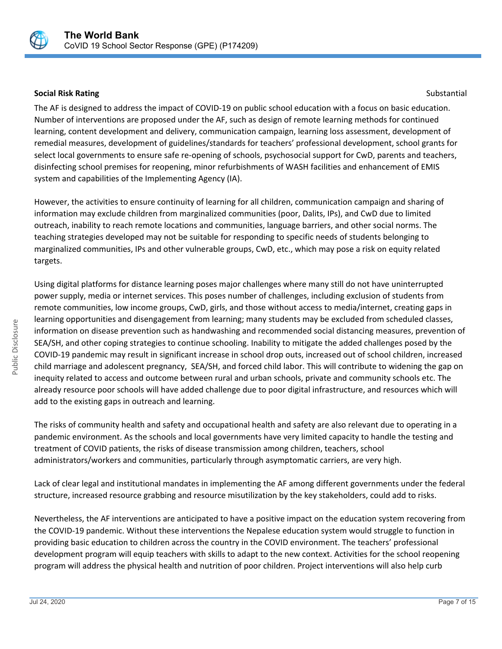

#### **Social Risk Rating Substantial Risk Rating Substantial Risk Rating Substantial Risk Rating Substantial Risk Rating Substantial Risk Rating Substantial Risk Rating Substantial Risk Rating Substantial Risk Rating Substantia**

The AF is designed to address the impact of COVID-19 on public school education with a focus on basic education. Number of interventions are proposed under the AF, such as design of remote learning methods for continued learning, content development and delivery, communication campaign, learning loss assessment, development of remedial measures, development of guidelines/standards for teachers' professional development, school grants for select local governments to ensure safe re-opening of schools, psychosocial support for CwD, parents and teachers, disinfecting school premises for reopening, minor refurbishments of WASH facilities and enhancement of EMIS system and capabilities of the Implementing Agency (IA).

However, the activities to ensure continuity of learning for all children, communication campaign and sharing of information may exclude children from marginalized communities (poor, Dalits, IPs), and CwD due to limited outreach, inability to reach remote locations and communities, language barriers, and other social norms. The teaching strategies developed may not be suitable for responding to specific needs of students belonging to marginalized communities, IPs and other vulnerable groups, CwD, etc., which may pose a risk on equity related targets.

Using digital platforms for distance learning poses major challenges where many still do not have uninterrupted power supply, media or internet services. This poses number of challenges, including exclusion of students from remote communities, low income groups, CwD, girls, and those without access to media/internet, creating gaps in learning opportunities and disengagement from learning; many students may be excluded from scheduled classes, information on disease prevention such as handwashing and recommended social distancing measures, prevention of SEA/SH, and other coping strategies to continue schooling. Inability to mitigate the added challenges posed by the COVID-19 pandemic may result in significant increase in school drop outs, increased out of school children, increased child marriage and adolescent pregnancy, SEA/SH, and forced child labor. This will contribute to widening the gap on inequity related to access and outcome between rural and urban schools, private and community schools etc. The already resource poor schools will have added challenge due to poor digital infrastructure, and resources which will add to the existing gaps in outreach and learning.

The risks of community health and safety and occupational health and safety are also relevant due to operating in a pandemic environment. As the schools and local governments have very limited capacity to handle the testing and treatment of COVID patients, the risks of disease transmission among children, teachers, school administrators/workers and communities, particularly through asymptomatic carriers, are very high.

Lack of clear legal and institutional mandates in implementing the AF among different governments under the federal structure, increased resource grabbing and resource misutilization by the key stakeholders, could add to risks.

Nevertheless, the AF interventions are anticipated to have a positive impact on the education system recovering from the COVID-19 pandemic. Without these interventions the Nepalese education system would struggle to function in providing basic education to children across the country in the COVID environment. The teachers' professional development program will equip teachers with skills to adapt to the new context. Activities for the school reopening program will address the physical health and nutrition of poor children. Project interventions will also help curb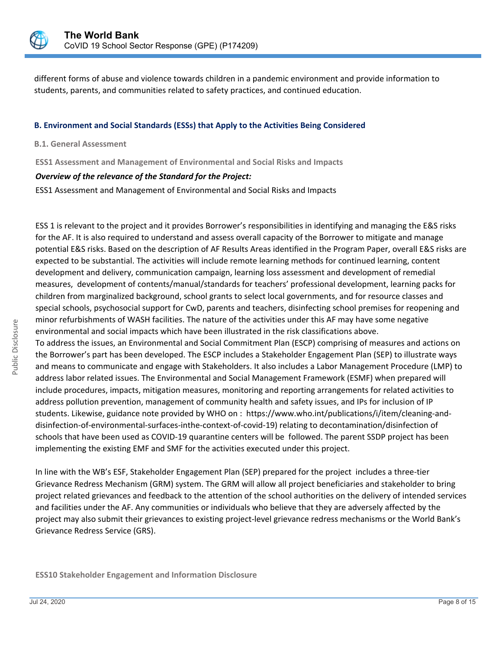

different forms of abuse and violence towards children in a pandemic environment and provide information to students, parents, and communities related to safety practices, and continued education.

#### **B. Environment and Social Standards (ESSs) that Apply to the Activities Being Considered**

#### **B.1. General Assessment**

**ESS1 Assessment and Management of Environmental and Social Risks and Impacts**

#### *Overview of the relevance of the Standard for the Project:*

ESS1 Assessment and Management of Environmental and Social Risks and Impacts

ESS 1 is relevant to the project and it provides Borrower's responsibilities in identifying and managing the E&S risks for the AF. It is also required to understand and assess overall capacity of the Borrower to mitigate and manage potential E&S risks. Based on the description of AF Results Areas identified in the Program Paper, overall E&S risks are expected to be substantial. The activities will include remote learning methods for continued learning, content development and delivery, communication campaign, learning loss assessment and development of remedial measures, development of contents/manual/standards for teachers' professional development, learning packs for children from marginalized background, school grants to select local governments, and for resource classes and special schools, psychosocial support for CwD, parents and teachers, disinfecting school premises for reopening and minor refurbishments of WASH facilities. The nature of the activities under this AF may have some negative environmental and social impacts which have been illustrated in the risk classifications above.

To address the issues, an Environmental and Social Commitment Plan (ESCP) comprising of measures and actions on the Borrower's part has been developed. The ESCP includes a Stakeholder Engagement Plan (SEP) to illustrate ways and means to communicate and engage with Stakeholders. It also includes a Labor Management Procedure (LMP) to address labor related issues. The Environmental and Social Management Framework (ESMF) when prepared will include procedures, impacts, mitigation measures, monitoring and reporting arrangements for related activities to address pollution prevention, management of community health and safety issues, and IPs for inclusion of IP students. Likewise, guidance note provided by WHO on : https://www.who.int/publications/i/item/cleaning-anddisinfection-of-environmental-surfaces-inthe-context-of-covid-19) relating to decontamination/disinfection of schools that have been used as COVID-19 quarantine centers will be followed. The parent SSDP project has been implementing the existing EMF and SMF for the activities executed under this project.

In line with the WB's ESF, Stakeholder Engagement Plan (SEP) prepared for the project includes a three-tier Grievance Redress Mechanism (GRM) system. The GRM will allow all project beneficiaries and stakeholder to bring project related grievances and feedback to the attention of the school authorities on the delivery of intended services and facilities under the AF. Any communities or individuals who believe that they are adversely affected by the project may also submit their grievances to existing project-level grievance redress mechanisms or the World Bank's Grievance Redress Service (GRS).

#### **ESS10 Stakeholder Engagement and Information Disclosure**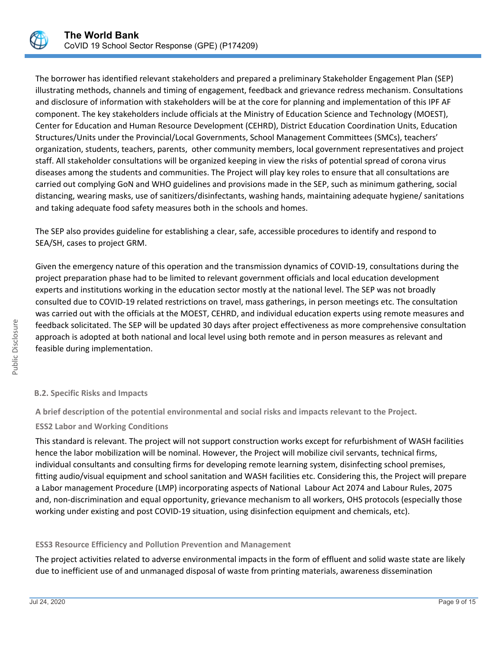

The borrower has identified relevant stakeholders and prepared a preliminary Stakeholder Engagement Plan (SEP) illustrating methods, channels and timing of engagement, feedback and grievance redress mechanism. Consultations and disclosure of information with stakeholders will be at the core for planning and implementation of this IPF AF component. The key stakeholders include officials at the Ministry of Education Science and Technology (MOEST), Center for Education and Human Resource Development (CEHRD), District Education Coordination Units, Education Structures/Units under the Provincial/Local Governments, School Management Committees (SMCs), teachers' organization, students, teachers, parents, other community members, local government representatives and project staff. All stakeholder consultations will be organized keeping in view the risks of potential spread of corona virus diseases among the students and communities. The Project will play key roles to ensure that all consultations are carried out complying GoN and WHO guidelines and provisions made in the SEP, such as minimum gathering, social distancing, wearing masks, use of sanitizers/disinfectants, washing hands, maintaining adequate hygiene/ sanitations and taking adequate food safety measures both in the schools and homes.

The SEP also provides guideline for establishing a clear, safe, accessible procedures to identify and respond to SEA/SH, cases to project GRM.

Given the emergency nature of this operation and the transmission dynamics of COVID-19, consultations during the project preparation phase had to be limited to relevant government officials and local education development experts and institutions working in the education sector mostly at the national level. The SEP was not broadly consulted due to COVID-19 related restrictions on travel, mass gatherings, in person meetings etc. The consultation was carried out with the officials at the MOEST, CEHRD, and individual education experts using remote measures and feedback solicitated. The SEP will be updated 30 days after project effectiveness as more comprehensive consultation approach is adopted at both national and local level using both remote and in person measures as relevant and feasible during implementation.

## **B.2. Specific Risks and Impacts**

**A brief description of the potential environmental and social risks and impacts relevant to the Project.**

## **ESS2 Labor and Working Conditions**

This standard is relevant. The project will not support construction works except for refurbishment of WASH facilities hence the labor mobilization will be nominal. However, the Project will mobilize civil servants, technical firms, individual consultants and consulting firms for developing remote learning system, disinfecting school premises, fitting audio/visual equipment and school sanitation and WASH facilities etc. Considering this, the Project will prepare a Labor management Procedure (LMP) incorporating aspects of National Labour Act 2074 and Labour Rules, 2075 and, non-discrimination and equal opportunity, grievance mechanism to all workers, OHS protocols (especially those working under existing and post COVID-19 situation, using disinfection equipment and chemicals, etc).

## **ESS3 Resource Efficiency and Pollution Prevention and Management**

The project activities related to adverse environmental impacts in the form of effluent and solid waste state are likely due to inefficient use of and unmanaged disposal of waste from printing materials, awareness dissemination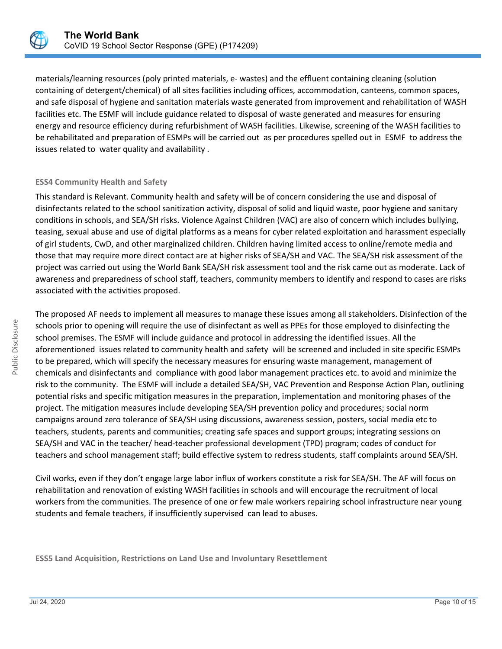

materials/learning resources (poly printed materials, e- wastes) and the effluent containing cleaning (solution containing of detergent/chemical) of all sites facilities including offices, accommodation, canteens, common spaces, and safe disposal of hygiene and sanitation materials waste generated from improvement and rehabilitation of WASH facilities etc. The ESMF will include guidance related to disposal of waste generated and measures for ensuring energy and resource efficiency during refurbishment of WASH facilities. Likewise, screening of the WASH facilities to be rehabilitated and preparation of ESMPs will be carried out as per procedures spelled out in ESMF to address the issues related to water quality and availability .

## **ESS4 Community Health and Safety**

This standard is Relevant. Community health and safety will be of concern considering the use and disposal of disinfectants related to the school sanitization activity, disposal of solid and liquid waste, poor hygiene and sanitary conditions in schools, and SEA/SH risks. Violence Against Children (VAC) are also of concern which includes bullying, teasing, sexual abuse and use of digital platforms as a means for cyber related exploitation and harassment especially of girl students, CwD, and other marginalized children. Children having limited access to online/remote media and those that may require more direct contact are at higher risks of SEA/SH and VAC. The SEA/SH risk assessment of the project was carried out using the World Bank SEA/SH risk assessment tool and the risk came out as moderate. Lack of awareness and preparedness of school staff, teachers, community members to identify and respond to cases are risks associated with the activities proposed.

The proposed AF needs to implement all measures to manage these issues among all stakeholders. Disinfection of the schools prior to opening will require the use of disinfectant as well as PPEs for those employed to disinfecting the school premises. The ESMF will include guidance and protocol in addressing the identified issues. All the aforementioned issues related to community health and safety will be screened and included in site specific ESMPs to be prepared, which will specify the necessary measures for ensuring waste management, management of chemicals and disinfectants and compliance with good labor management practices etc. to avoid and minimize the risk to the community. The ESMF will include a detailed SEA/SH, VAC Prevention and Response Action Plan, outlining potential risks and specific mitigation measures in the preparation, implementation and monitoring phases of the project. The mitigation measures include developing SEA/SH prevention policy and procedures; social norm campaigns around zero tolerance of SEA/SH using discussions, awareness session, posters, social media etc to teachers, students, parents and communities; creating safe spaces and support groups; integrating sessions on SEA/SH and VAC in the teacher/ head-teacher professional development (TPD) program; codes of conduct for teachers and school management staff; build effective system to redress students, staff complaints around SEA/SH.

Civil works, even if they don't engage large labor influx of workers constitute a risk for SEA/SH. The AF will focus on rehabilitation and renovation of existing WASH facilities in schools and will encourage the recruitment of local workers from the communities. The presence of one or few male workers repairing school infrastructure near young students and female teachers, if insufficiently supervised can lead to abuses.

**ESS5 Land Acquisition, Restrictions on Land Use and Involuntary Resettlement**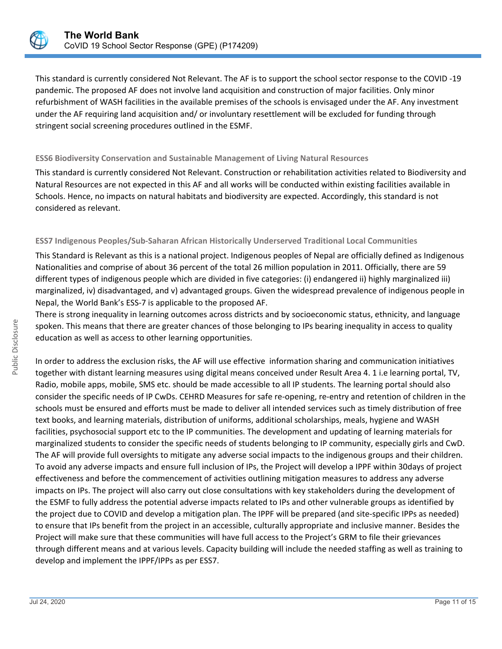

This standard is currently considered Not Relevant. The AF is to support the school sector response to the COVID -19 pandemic. The proposed AF does not involve land acquisition and construction of major facilities. Only minor refurbishment of WASH facilities in the available premises of the schools is envisaged under the AF. Any investment under the AF requiring land acquisition and/ or involuntary resettlement will be excluded for funding through stringent social screening procedures outlined in the ESMF.

## **ESS6 Biodiversity Conservation and Sustainable Management of Living Natural Resources**

This standard is currently considered Not Relevant. Construction or rehabilitation activities related to Biodiversity and Natural Resources are not expected in this AF and all works will be conducted within existing facilities available in Schools. Hence, no impacts on natural habitats and biodiversity are expected. Accordingly, this standard is not considered as relevant.

## **ESS7 Indigenous Peoples/Sub-Saharan African Historically Underserved Traditional Local Communities**

This Standard is Relevant as this is a national project. Indigenous peoples of Nepal are officially defined as Indigenous Nationalities and comprise of about 36 percent of the total 26 million population in 2011. Officially, there are 59 different types of indigenous people which are divided in five categories: (i) endangered ii) highly marginalized iii) marginalized, iv) disadvantaged, and v) advantaged groups. Given the widespread prevalence of indigenous people in Nepal, the World Bank's ESS-7 is applicable to the proposed AF.

There is strong inequality in learning outcomes across districts and by socioeconomic status, ethnicity, and language spoken. This means that there are greater chances of those belonging to IPs bearing inequality in access to quality education as well as access to other learning opportunities.

In order to address the exclusion risks, the AF will use effective information sharing and communication initiatives together with distant learning measures using digital means conceived under Result Area 4. 1 i.e learning portal, TV, Radio, mobile apps, mobile, SMS etc. should be made accessible to all IP students. The learning portal should also consider the specific needs of IP CwDs. CEHRD Measures for safe re-opening, re-entry and retention of children in the schools must be ensured and efforts must be made to deliver all intended services such as timely distribution of free text books, and learning materials, distribution of uniforms, additional scholarships, meals, hygiene and WASH facilities, psychosocial support etc to the IP communities. The development and updating of learning materials for marginalized students to consider the specific needs of students belonging to IP community, especially girls and CwD. The AF will provide full oversights to mitigate any adverse social impacts to the indigenous groups and their children. To avoid any adverse impacts and ensure full inclusion of IPs, the Project will develop a IPPF within 30days of project effectiveness and before the commencement of activities outlining mitigation measures to address any adverse impacts on IPs. The project will also carry out close consultations with key stakeholders during the development of the ESMF to fully address the potential adverse impacts related to IPs and other vulnerable groups as identified by the project due to COVID and develop a mitigation plan. The IPPF will be prepared (and site-specific IPPs as needed) to ensure that IPs benefit from the project in an accessible, culturally appropriate and inclusive manner. Besides the Project will make sure that these communities will have full access to the Project's GRM to file their grievances through different means and at various levels. Capacity building will include the needed staffing as well as training to develop and implement the IPPF/IPPs as per ESS7.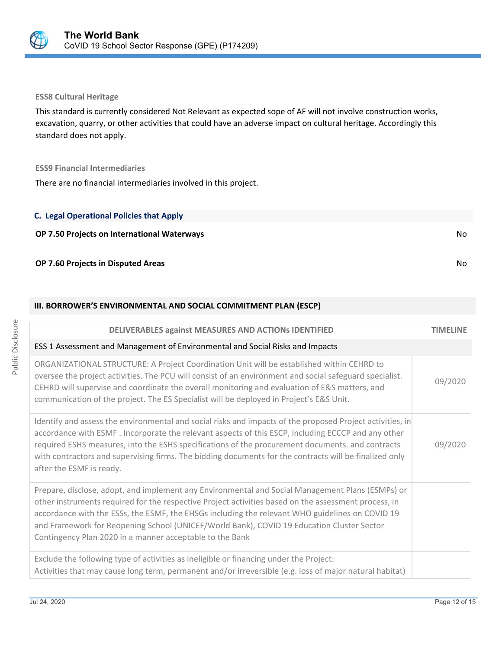

#### **ESS8 Cultural Heritage**

This standard is currently considered Not Relevant as expected sope of AF will not involve construction works, excavation, quarry, or other activities that could have an adverse impact on cultural heritage. Accordingly this standard does not apply.

#### **ESS9 Financial Intermediaries**

There are no financial intermediaries involved in this project.

## **C. Legal Operational Policies that Apply**

## **OP 7.50 Projects on International Waterways** No

## **OP 7.60 Projects in Disputed Areas** No

#### **III. BORROWER'S ENVIRONMENTAL AND SOCIAL COMMITMENT PLAN (ESCP)**

| DELIVERABLES against MEASURES AND ACTIONS IDENTIFIED                                                                                                                                                                                                                                                                                                                                                                                                                 | <b>TIMELINE</b> |
|----------------------------------------------------------------------------------------------------------------------------------------------------------------------------------------------------------------------------------------------------------------------------------------------------------------------------------------------------------------------------------------------------------------------------------------------------------------------|-----------------|
| ESS 1 Assessment and Management of Environmental and Social Risks and Impacts                                                                                                                                                                                                                                                                                                                                                                                        |                 |
| ORGANIZATIONAL STRUCTURE: A Project Coordination Unit will be established within CEHRD to<br>oversee the project activities. The PCU will consist of an environment and social safeguard specialist.<br>CEHRD will supervise and coordinate the overall monitoring and evaluation of E&S matters, and<br>communication of the project. The ES Specialist will be deployed in Project's E&S Unit.                                                                     | 09/2020         |
| Identify and assess the environmental and social risks and impacts of the proposed Project activities, in<br>accordance with ESMF. Incorporate the relevant aspects of this ESCP, including ECCCP and any other<br>required ESHS measures, into the ESHS specifications of the procurement documents. and contracts<br>with contractors and supervising firms. The bidding documents for the contracts will be finalized only<br>after the ESMF is ready.            | 09/2020         |
| Prepare, disclose, adopt, and implement any Environmental and Social Management Plans (ESMPs) or<br>other instruments required for the respective Project activities based on the assessment process, in<br>accordance with the ESSs, the ESMF, the EHSGs including the relevant WHO guidelines on COVID 19<br>and Framework for Reopening School (UNICEF/World Bank), COVID 19 Education Cluster Sector<br>Contingency Plan 2020 in a manner acceptable to the Bank |                 |
| Exclude the following type of activities as ineligible or financing under the Project:<br>Activities that may cause long term, permanent and/or irreversible (e.g. loss of major natural habitat)                                                                                                                                                                                                                                                                    |                 |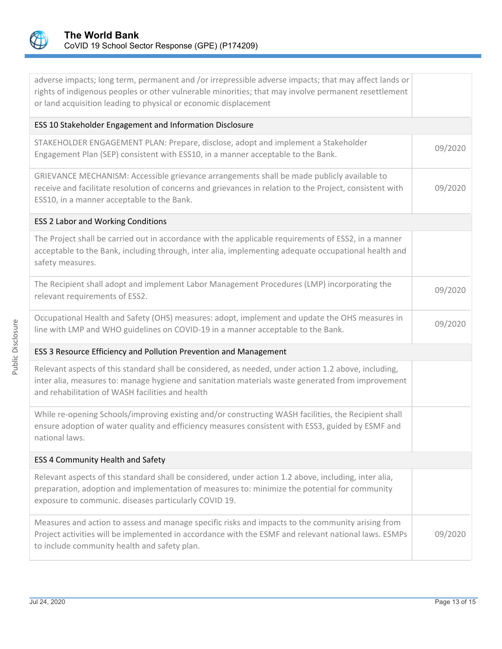

| adverse impacts; long term, permanent and /or irrepressible adverse impacts; that may affect lands or<br>rights of indigenous peoples or other vulnerable minorities; that may involve permanent resettlement<br>or land acquisition leading to physical or economic displacement |         |  |  |
|-----------------------------------------------------------------------------------------------------------------------------------------------------------------------------------------------------------------------------------------------------------------------------------|---------|--|--|
| ESS 10 Stakeholder Engagement and Information Disclosure                                                                                                                                                                                                                          |         |  |  |
| STAKEHOLDER ENGAGEMENT PLAN: Prepare, disclose, adopt and implement a Stakeholder<br>Engagement Plan (SEP) consistent with ESS10, in a manner acceptable to the Bank.                                                                                                             | 09/2020 |  |  |
| GRIEVANCE MECHANISM: Accessible grievance arrangements shall be made publicly available to<br>receive and facilitate resolution of concerns and grievances in relation to the Project, consistent with<br>ESS10, in a manner acceptable to the Bank.                              | 09/2020 |  |  |
| <b>ESS 2 Labor and Working Conditions</b>                                                                                                                                                                                                                                         |         |  |  |
| The Project shall be carried out in accordance with the applicable requirements of ESS2, in a manner<br>acceptable to the Bank, including through, inter alia, implementing adequate occupational health and<br>safety measures.                                                  |         |  |  |
| The Recipient shall adopt and implement Labor Management Procedures (LMP) incorporating the<br>relevant requirements of ESS2.                                                                                                                                                     | 09/2020 |  |  |
| Occupational Health and Safety (OHS) measures: adopt, implement and update the OHS measures in<br>line with LMP and WHO guidelines on COVID-19 in a manner acceptable to the Bank.                                                                                                | 09/2020 |  |  |
| ESS 3 Resource Efficiency and Pollution Prevention and Management                                                                                                                                                                                                                 |         |  |  |
| Relevant aspects of this standard shall be considered, as needed, under action 1.2 above, including,<br>inter alia, measures to: manage hygiene and sanitation materials waste generated from improvement<br>and rehabilitation of WASH facilities and health                     |         |  |  |
| While re-opening Schools/improving existing and/or constructing WASH facilities, the Recipient shall<br>ensure adoption of water quality and efficiency measures consistent with ESS3, guided by ESMF and<br>national laws.                                                       |         |  |  |
| ESS 4 Community Health and Safety                                                                                                                                                                                                                                                 |         |  |  |
| Relevant aspects of this standard shall be considered, under action 1.2 above, including, inter alia,<br>preparation, adoption and implementation of measures to: minimize the potential for community<br>exposure to communic. diseases particularly COVID 19.                   |         |  |  |
| Measures and action to assess and manage specific risks and impacts to the community arising from<br>Project activities will be implemented in accordance with the ESMF and relevant national laws. ESMPs<br>to include community health and safety plan.                         | 09/2020 |  |  |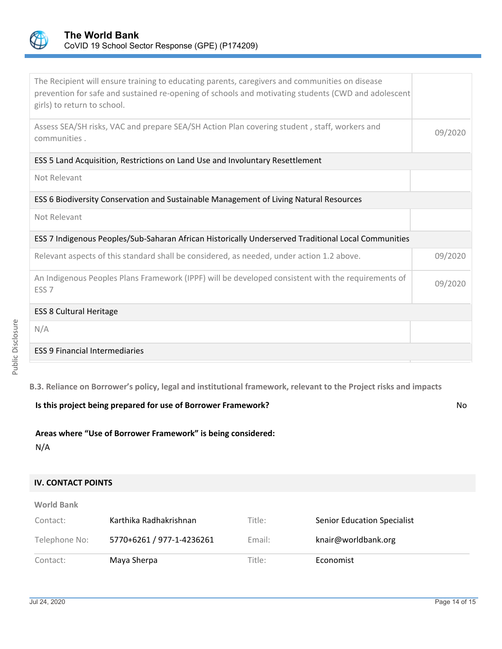

| The Recipient will ensure training to educating parents, caregivers and communities on disease<br>prevention for safe and sustained re-opening of schools and motivating students (CWD and adolescent<br>girls) to return to school. |         |  |  |
|--------------------------------------------------------------------------------------------------------------------------------------------------------------------------------------------------------------------------------------|---------|--|--|
| Assess SEA/SH risks, VAC and prepare SEA/SH Action Plan covering student, staff, workers and<br>communities.                                                                                                                         | 09/2020 |  |  |
| ESS 5 Land Acquisition, Restrictions on Land Use and Involuntary Resettlement                                                                                                                                                        |         |  |  |
| Not Relevant                                                                                                                                                                                                                         |         |  |  |
| ESS 6 Biodiversity Conservation and Sustainable Management of Living Natural Resources                                                                                                                                               |         |  |  |
| Not Relevant                                                                                                                                                                                                                         |         |  |  |
| ESS 7 Indigenous Peoples/Sub-Saharan African Historically Underserved Traditional Local Communities                                                                                                                                  |         |  |  |
| Relevant aspects of this standard shall be considered, as needed, under action 1.2 above.                                                                                                                                            | 09/2020 |  |  |
| An Indigenous Peoples Plans Framework (IPPF) will be developed consistent with the requirements of<br>ESS <sub>7</sub>                                                                                                               | 09/2020 |  |  |
| <b>ESS 8 Cultural Heritage</b>                                                                                                                                                                                                       |         |  |  |
| N/A                                                                                                                                                                                                                                  |         |  |  |
| <b>ESS 9 Financial Intermediaries</b>                                                                                                                                                                                                |         |  |  |

Public Disclosure Public Disclosure

**B.3. Reliance on Borrower's policy, legal and institutional framework, relevant to the Project risks and impacts**

**Is this project being prepared for use of Borrower Framework?** No

## **Areas where "Use of Borrower Framework" is being considered:**

N/A

## **IV. CONTACT POINTS**

| <b>World Bank</b> |  |
|-------------------|--|
|-------------------|--|

| Contact:      | Karthika Radhakrishnan    | Title: | <b>Senior Education Specialist</b> |
|---------------|---------------------------|--------|------------------------------------|
| Telephone No: | 5770+6261 / 977-1-4236261 | Email: | knair@worldbank.org                |
| Contact:      | Maya Sherpa               | Title: | Economist                          |